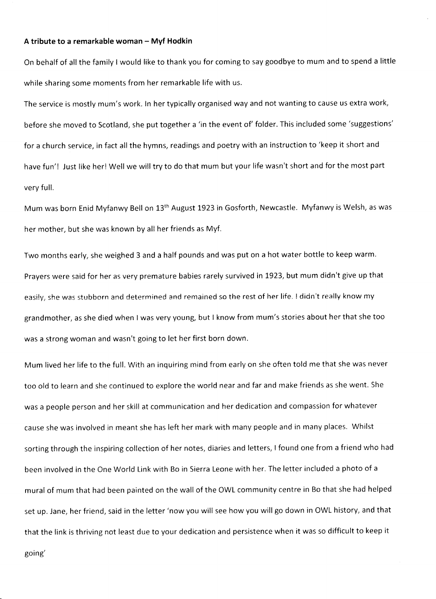## A tribute to a remarkable woman - Myf Hodkin

On behalf of all the family I would like to thank you for coming to say goodbye to mum and to spend a little while sharing some moments from her remarkable life with us.

The service is mostly mum's work. ln her typically organised way and not wanting to cause us extra work, before she moved to Scotland, she put together a 'in the event of' folder. This included some 'suggestions' for a church service, in fact all the hymns, readings and poetry with an instruction to 'keep it short and have fun'! Just like her! Well we will try to do that mum but your life wasn't short and for the most part very full.

Mum was born Enid Myfanwy Bell on 13<sup>th</sup> August 1923 in Gosforth, Newcastle. Myfanwy is Welsh, as was her mother, but she was known by all her friends as Myf.

Two months early, she weighed 3 and a half pounds and was put on a hot water bottle to keep warm. Prayers were said for her as very premature babies rarely survived in 1923, but mum didn't give up that easily, she was stubborn and determined and remained so the rest of her life. I didn't really know my grandmother, as she died when I was very young, but I know from mum's stories about her that she too was a strong woman and wasn't going to let her first born down.

Mum lived her life to the full. With an inquiring mind from early on she often told me that she was never too old to learn and she continued to explore the world near and far and make friends as she went. She was a people person and her skill at communication and her dedication and compassion for whatever cause she was involved in meant she has left her mark with many people and in many places. Whilst sorting through the inspiring collection of her notes, diaries and letters, I found one from a friend who had been involved in the One World Link with Bo in Sierra Leone with her. The letter included a photo of <sup>a</sup> mural of mum that had been painted on the wall of the OWL comrnunity centre in Bo that she had helped set up. Jane, her friend, said in the letter'now you will see how you will go down in OWL history, and that that the link is thriving not least due to your dedication and persistence when it was so difficult to keep it

going'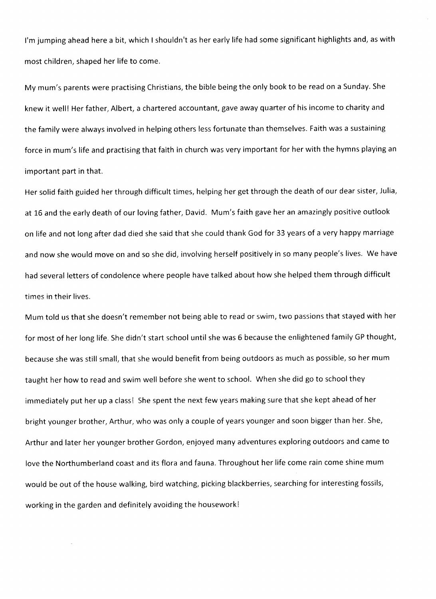I'm jumping ahead here a bit, which I shouldn't as her early life had some significant highlights and, as with most children, shaped her life to come.

My mum's parents were practising Christians, the bible being the only book to be read on a Sunday. She knew it welll Her father, Albert, a chartered accountant, gave away quarter of his income to charity and the family were always involved in helping others less fortunate than themselves. Faith was a sustaining force in mum's life and practising that faith in church was very important for her with the hymns playing an important part in that.

Her solid faith guided her through difficult times, helping her get through the death of our dear sister, Julia, at L6 and the early death of our loving father, David. Mum's faith gave her an amazingly positive outlook on life and not long after dad died she said that she could thank God for 33 years of a very happy marriage and now she would move on and so she did, involving herself positively in so many people's lives. We have had several letters of condolence where people have taiked about how she helped them through difficult times in their lives.

Mum told us that she doesn't remember not being able to read or swim, two passions that stayed with her for most of her long life. She didn't start school until she was 6 because the enlightened family GP thought, because she was still small, that she would benefit from being outdoors as much as possibie, so her mum taught her how to read and swim well before she went to school. When she did go to school they immediately put her up a class! She spent the next few years making sure that she kept ahead of her bright younger brother, Arthur, who was only a couple of years younger and soon bigger than her, She, Arthur and later her younger brother Gordon, enjoyed many adventures exploring outdoors and came to love the Northumberland coast and its flora and fauna. Throughout her life come rain come shine mum would be out of the house walking, bird watching, picking blackberries, searching for interesting fossils, working in the garden and definitely avoiding the houseworkl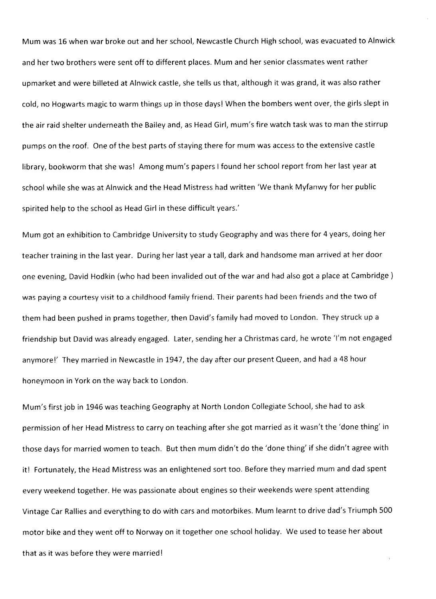Mum was 16 when war broke out and her school, Newcastle Chureh High school, was evacuated to Alnwick and her two brothers were sent off to different places. Mum and her senior classmates went rather upmarket and were billeted at Alnwick castle, she tells us that, although it was grand, it was also rather cold, no Hogwarts magic to warm things up in those days! When the bombers went over, the girls slept in the air raid shelter underneath the Bailey and, as Head Girl, mum's fire watch task was to man the stirrup pumps on the roof. One of the best parts of staying there for mum was access to the extensive castle library, bookworm that she was! Among mum's papers I found her school report from her last year at school while she was at Alnwick and the Head Mistress had written 'We thank Myfanwy for her public spirited help to the school as Head Girl in these difficult years.'

Mum got an exhibition to Cambridge University to study Geography and was there for 4 years, doing her teacher training in the last year. During her last year a tall, dark and handsome man arrived at her door' one evening, David Hodkin (who had been invalided out of the war and had also got a place at Cambridge) was paying a courtesy visit to a childhood family friend. Their parents had been friends and the two of them had been pushed in prams together, then David's family had moved to London. They struck up <sup>a</sup> friendship but David was already engaged. Later, sending her a Christmas card, he wrote 'l'm not engaged anymore!' They married in Newcastle in 1947, the day after our present Queen, and had a 48 hour honeymoon in York on the way back to London.

Mum's first job in 1946 was teaching Geography at North London Collegiate School, she had to ask permission of her Head Mistress to carry on teaching after she got married as it wasn't the 'done thing' in those days for married women to teach. But then mum didn't do the 'done thing' if she didn't agree with it! Fortunately, the Head Mistress was an enlightened sort too. Before they married mum and dad spent every weekend together. He was passionate about engines so their weekends were spent attending Vintage Car Rallies and everything to do with cars and motorbikes. Mum learnt to drive dad's Triumph 500 motor bike and they went off to Norway on it together one school holiday. We used to tease her about that as it was before they were married!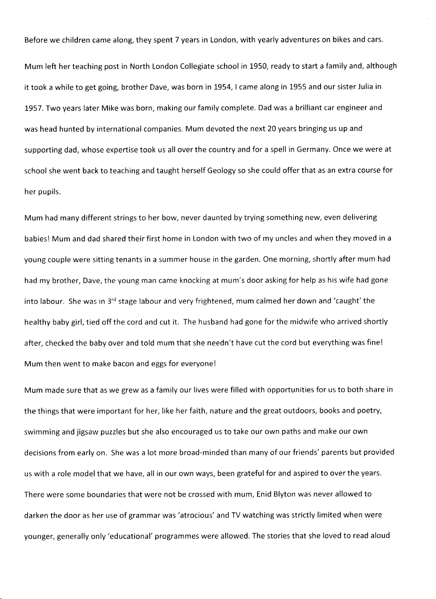Before we children came along, they spent 7 years in London, with yearly adventures on bikes and cars.

Mum left her teaching post in North London Collegiate school in 1950, ready to start a family and, although it took a while to get going, brother Dave, was born in 1954, I came along in 1955 and our sister iulia in 1957. Two years later Mike was born, making our family complete. Dad was a brilliant car engineer and was head hunted by international companies. Mum devoted the next 20 years bringing us up and supporting dad, whose expertise took us all over the country and for a spell in Germany. Once we were at school she went back to teaching and taught herself Geology so she could offer that as an extra course for her pupils.

Mum had many different strings to her bow, never daunted by trying something new, even delivering babiesl Mum and dad shared their first home in London with two of my uncles and when they moved in <sup>a</sup> young couple were sitting tenants in a summer house in the garden. One morning, shortly after mum had had my brother, Dave, the young man came knocking at mum's door asking for help as his wife had gone into labour. She was in 3<sup>rd</sup> stage labour and very frightened, mum calmed her down and 'caught' the healthy baby girl, tied off the cord and cut it. The husband had gone for the midwife who arrived shortly after, checked the baby over and told mum that she needn't have cut the cord but everything was fine! Mum then went to make bacon and eggs for everyone!

Murn made sure that as we grew as a family our lives were filled with opportunities for us to both share in the things that were important for her, like her faith, nature and the great outdoors, books and poetry, swimming and jigsaw puzzles but she also encouraged us to take our own paths and make our own decisions from early on. She was a lot more broad-minded than many of our friends' parents but provided us with a role model that we have, all in our own ways, been grateful for and aspired to over the years. There were some boundaries that were not be crossed with mum, Enid Blyton was never allowed to darken the door as her use of grammar was 'atrocious' and TV watching was strictly limited when were younger, generally only'educational' programmes were allowed. The stories that she loved to read aloud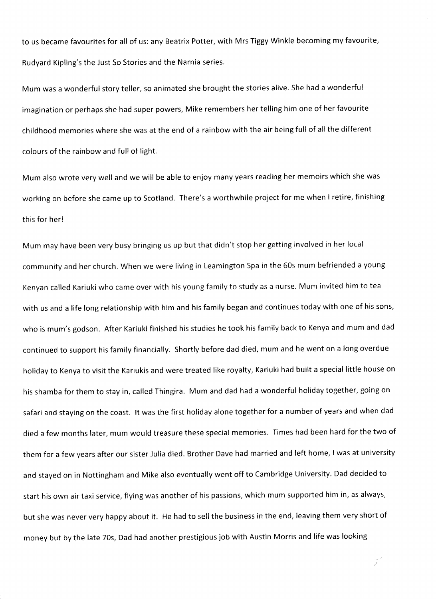to us becarne favourites for all of us: any Beatrix Potter, with Mrs Tiggy Winkle becoming my favourite, Rudyard Kipling's the Just So Stories and the Narnia series.

Mum was a wonderful story teller, so animated she brought the stories alive. She had a wonderful imagination or perhaps she had super powers, Mike remembers her telling him one of her favourite childhood memories where she was at the end of a rainbow with the air being full of all the different colours of the rainbow and full of light.

Mum also wrote very well and we will be able to enjoy many years reading her memoirs which she was working on before she came up to Scotland. There's a worthwhile project for me when I retire, finishing this for herl

Mum may have been very busy bringing us up but that didn't stop her getting involved in her local community and her church. When we were living in Leamington Spa in the 60s mum befriended a young Kenyan called Kariuki who came over with his young family to study as a nurse. Mum invited him to tea with us and a life long relationship with him and his family began and continues today with one of his sons, who is mum's godson. After Kariuki finished his studies he took his family back to Kenya and mum and dad continued to support his family financially. Shortly before dad died, mum and he went on a long overdue holiday to Kenya to visit the Kariukis and were treated like royalty, Kariuki had built a special little house on his shamba for them to stay in, called Thingira. Mum and dad had a wonderful holiday together, going on safari and staying on the coast, lt was the first holiday alone together for a number of years and when dad died a few months later, mum would treasure these special memories. Times had been hard for the two of them for a few years after our sister Julia died. Brother Dave had married and left home, I was at university and stayed on in Nottingham and Mike also eventually went off to Cambridge University. Dad decided to start his own air taxi service, flying was another of his passions, which mum supported him in, as always, but she was never very happy about it. He had to sell the business in the end, leaving them very short of money but by the late 70s, Dad had another prestigious job with Austin Morris and life was looking

 $\overline{\widetilde{z}}$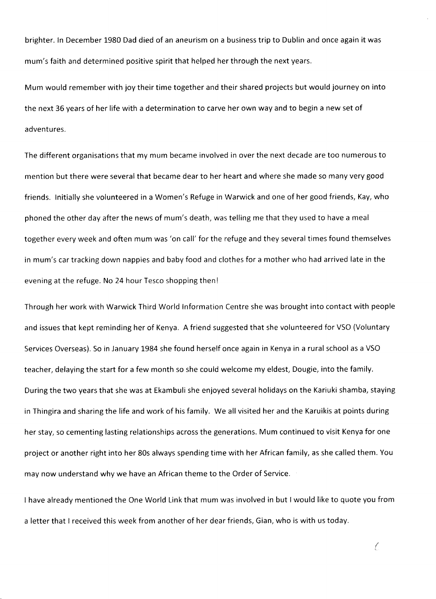brighter. ln December 1980 Dad died of an aneurism on a business trip to Dublin and once again it was mum's faith and determined positive spirit that helped her through the next years.

Mum would remember with joy their time together and their shared projects but would journey on into the next 36 years of her life with a determination to carve her own way and to begin a new set of adventures.

The different organisations that my mum became involved in over the next decade are too numerous to mention but there were several that became dear to her heart and where she made so many very good friends. lnitially she volunteered in a Women's Refuge in Warwick and one of her good friends, Kay, who phoned the other day after the news of mum's death, was telling me that they used to have a meal together every week and often mum was 'on call' for the refuge and they several times found themselves in mum's car tracking down nappies and baby food and clothes for a mother who had arrived late in the evening at the refuge. No 24 hour Tesco shopping thenl

Through her work with Warwick Third World lnformation Centre she was brought into contact with people and issues that kept reminding her of Kenya. A friend suggested that she volunteered for VSO {Voluntary Services Overseas). So in January 1984 she found herself once again in Kenya in a rural school as a VSO teacher, delaying the start for a few month so she could welcome my eldest, Dougie, into the family. During the two years that she was at Ekambuli she enjoyed several holidays on the Kariuki shamba, staying in Thingira and sharing the life and work of his family. We all visited her and the Karuikis at points during her stay, so cementing lasting relationships across the generations. Mum continued to visit Kenya for one project or another right into her 80s always spending time with her African family, as she called them. You may now understand why we have an African theme to the Order of Service.

I have already mentioned the One World Link that mum was involved in but I would like to quote you from a letter that I received this week from another of her dear friends, Gian, who is with us today.

Ċ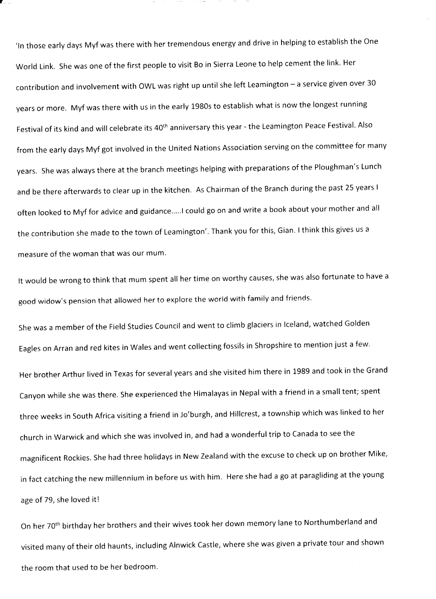'In those early days Myf was there with her tremendous energy and drive in helping to establish the One world Link. She was one of the first people to visit Bo in Sierra Leone to help cement the link. Her contribution and involvement with OWL was right up until she left Leamington - a service given over 30 years or more. Myf was there with us in the early 1980s to establish what is now the longest running Festival of its kind and will celebrate its 40<sup>th</sup> anniversary this year - the Leamington Peace Festival. Also from the early days Myf got involved in the United Nations Association serving on the committee for many years. She was always there at the branch meetings helping with preparations of the Ploughman's Lunch and be there afterwards to clear up in the kitchen. As Chairman of the Branch during the past 25 years <sup>I</sup> often looked to Myf for advice and guidance.....I could go on and write a book about your mother and all the contribution she made to the town of Leamington'. Thank you for this, Gian. I think this gives us <sup>a</sup> measure of the woman that was our mum'

It would be wrong to think that mum spent all her time on worthy causes, she was also fortunate to have a good widow's pension that allowed her to explore the world with family and friends'

She was a member of the Field Studies Council and went to climb glaciers in Iceland, watched Golden Eagles on Arran and red kites in Wales and went collecting fossils in Shropshire to mention just a few. Her brother Arthur lived in Texas for several years and she visited him there in 1989 and took in the Grand Canyon while she was there. She experienced the Himalayas in Nepal with a friend in a small tent; spent three weeks in South Africa visiting a friend in Jo'burgh, and Hillcrest, a township which was linked to her church in Warwick and which she was involved in, and had a wonderful trip to Canada to see the magnificent Rockies. she had three holidays in New Zealand with the excuse to check up on brother Mike, in fact catching the new millennium in before us with him, Here she had a go at paragliding at the Young age of 79, she loved it!

On her 70<sup>th</sup> birthday her brothers and their wives took her down memory lane to Northumberland and visited many of their old haunts, including Alnwick Castle, where she was given a private tour and shown the room that used to be her bedroom.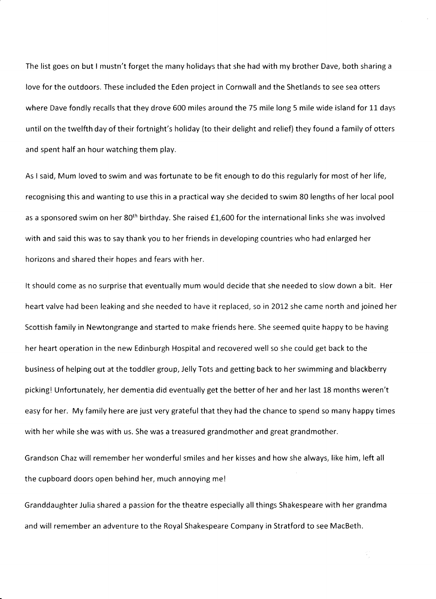The list goes on but I mustn't forget the many holidays that she had with my brother Dave, both sharing <sup>a</sup> love for the outdoors. These included the Eden project in Cornwall and the Shetlands to see sea otters where Dave fondly recalls that they drove 600 miles around the 75 mile long 5 mile wide island for 11 days until on the twelfth day of their fortnight's holiday {to their delight and relief} they found a family of otters and spent half an hour watching them play.

As I said, Mum loved to swim and was fortunate to be fit enough to do this regularly for most of her life, recognising this and wanting to use this in a practical way she decided to swim 80 lengths of her local pool as a sponsored swim on her 80<sup>th</sup> birthday. She raised £1,600 for the international links she was involved with and said this was to say thank you to her friends in developing countries who had enlarged her horizons and shared their hopes and fears with her.

It should come as no surprise that eventually mum would decide that she needed to slow down a bit. Her heart valve had been leaking and she needed to have it replaced, so in 2012 she came north and joined her Scottish family in Newtongrange and started to make friends here, She seemed quite happy to be having her heart operation in the new Edinburgh Hospital and recovered well so she could get back to the business of helping out at the toddler group, Jelly Tots and getting back to her swimming and blackberry picking! Unfortunately, her dementia did eventually get the better of her and her last 18 months weren't easy for her. My family here are just very grateful that they had the chance to spend so many happy times with her while she was with us. She was a treasured grandmother and great grandmother.

Grandson Chaz will remember her wonderful smiles and her kisses and how she always, like him, left all the cupboard doors open behind her, much annoying mel

Granddaughter Julia shared a passion for the theatre especially all things Shakespeare with her grandma and will remember an adventure to the Royal Shakespeare Company in Stratford to see MacBeth.